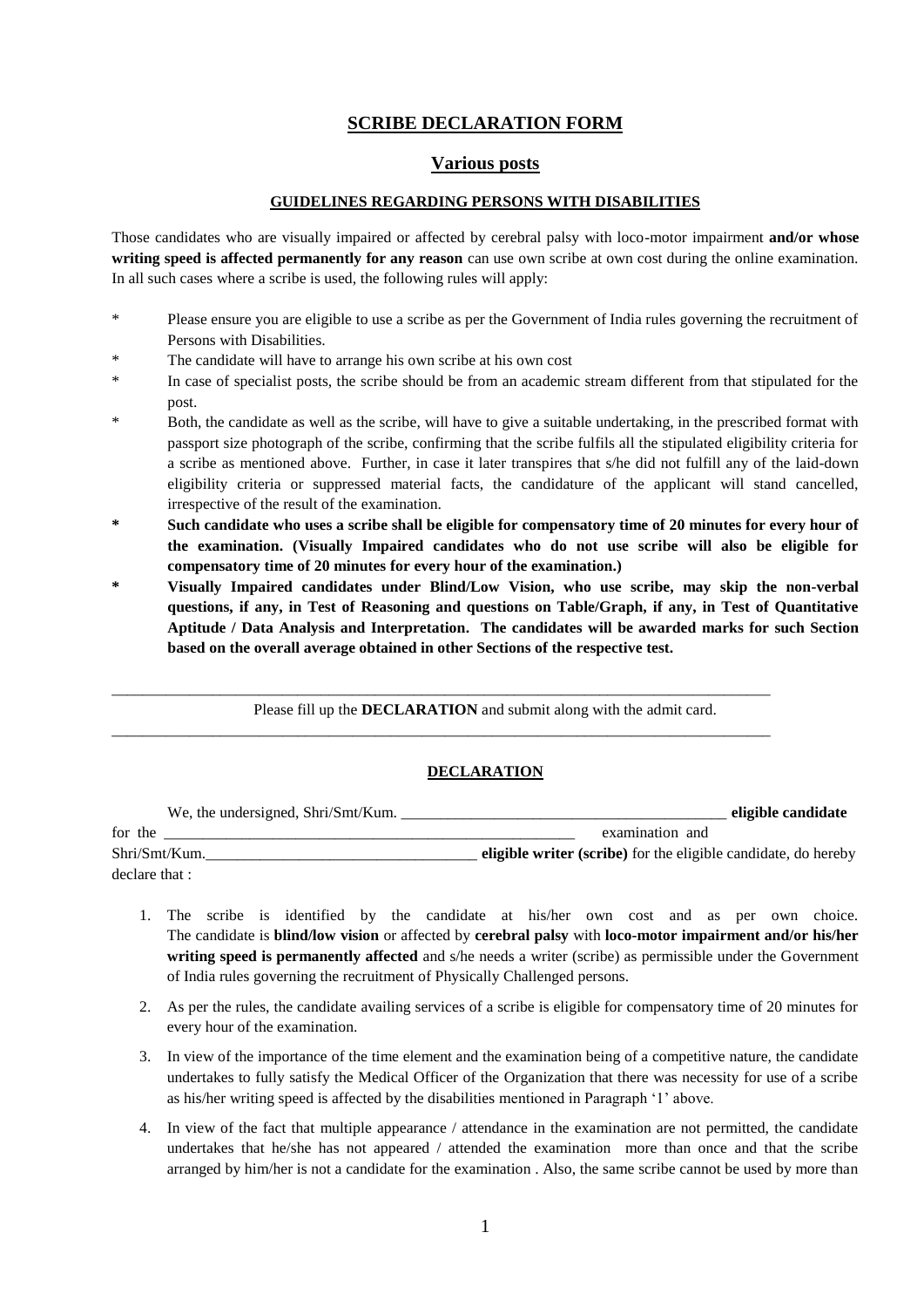# **SCRIBE DECLARATION FORM**

## **Various posts**

### **GUIDELINES REGARDING PERSONS WITH DISABILITIES**

Those candidates who are visually impaired or affected by cerebral palsy with loco-motor impairment **and/or whose writing speed is affected permanently for any reason** can use own scribe at own cost during the online examination. In all such cases where a scribe is used, the following rules will apply:

- \* Please ensure you are eligible to use a scribe as per the Government of India rules governing the recruitment of Persons with Disabilities.
- The candidate will have to arrange his own scribe at his own cost
- In case of specialist posts, the scribe should be from an academic stream different from that stipulated for the post.
- Both, the candidate as well as the scribe, will have to give a suitable undertaking, in the prescribed format with passport size photograph of the scribe, confirming that the scribe fulfils all the stipulated eligibility criteria for a scribe as mentioned above. Further, in case it later transpires that s/he did not fulfill any of the laid-down eligibility criteria or suppressed material facts, the candidature of the applicant will stand cancelled, irrespective of the result of the examination.
- **\* Such candidate who uses a scribe shall be eligible for compensatory time of 20 minutes for every hour of the examination. (Visually Impaired candidates who do not use scribe will also be eligible for compensatory time of 20 minutes for every hour of the examination.)**
- **\* Visually Impaired candidates under Blind/Low Vision, who use scribe, may skip the non-verbal questions, if any, in Test of Reasoning and questions on Table/Graph, if any, in Test of Quantitative Aptitude / Data Analysis and Interpretation. The candidates will be awarded marks for such Section based on the overall average obtained in other Sections of the respective test.**

Please fill up the **DECLARATION** and submit along with the admit card.

\_\_\_\_\_\_\_\_\_\_\_\_\_\_\_\_\_\_\_\_\_\_\_\_\_\_\_\_\_\_\_\_\_\_\_\_\_\_\_\_\_\_\_\_\_\_\_\_\_\_\_\_\_\_\_\_\_\_\_\_\_\_\_\_\_\_\_\_\_\_\_\_\_\_\_\_\_\_\_\_\_\_\_\_\_

\_\_\_\_\_\_\_\_\_\_\_\_\_\_\_\_\_\_\_\_\_\_\_\_\_\_\_\_\_\_\_\_\_\_\_\_\_\_\_\_\_\_\_\_\_\_\_\_\_\_\_\_\_\_\_\_\_\_\_\_\_\_\_\_\_\_\_\_\_\_\_\_\_\_\_\_\_\_\_\_\_\_\_\_\_

## **DECLARATION**

| We, the undersigned, Shri/Smt/Kum. | eligible candidate                                             |
|------------------------------------|----------------------------------------------------------------|
| for the                            | examination and                                                |
| Shri/Smt/Kum.                      | eligible writer (scribe) for the eligible candidate, do hereby |
| declare that :                     |                                                                |

- 1. The scribe is identified by the candidate at his/her own cost and as per own choice. The candidate is **blind/low vision** or affected by **cerebral palsy** with **loco-motor impairment and/or his/her writing speed is permanently affected** and s/he needs a writer (scribe) as permissible under the Government of India rules governing the recruitment of Physically Challenged persons.
- 2. As per the rules, the candidate availing services of a scribe is eligible for compensatory time of 20 minutes for every hour of the examination.
- 3. In view of the importance of the time element and the examination being of a competitive nature, the candidate undertakes to fully satisfy the Medical Officer of the Organization that there was necessity for use of a scribe as his/her writing speed is affected by the disabilities mentioned in Paragraph '1' above.
- 4. In view of the fact that multiple appearance / attendance in the examination are not permitted, the candidate undertakes that he/she has not appeared / attended the examination more than once and that the scribe arranged by him/her is not a candidate for the examination . Also, the same scribe cannot be used by more than